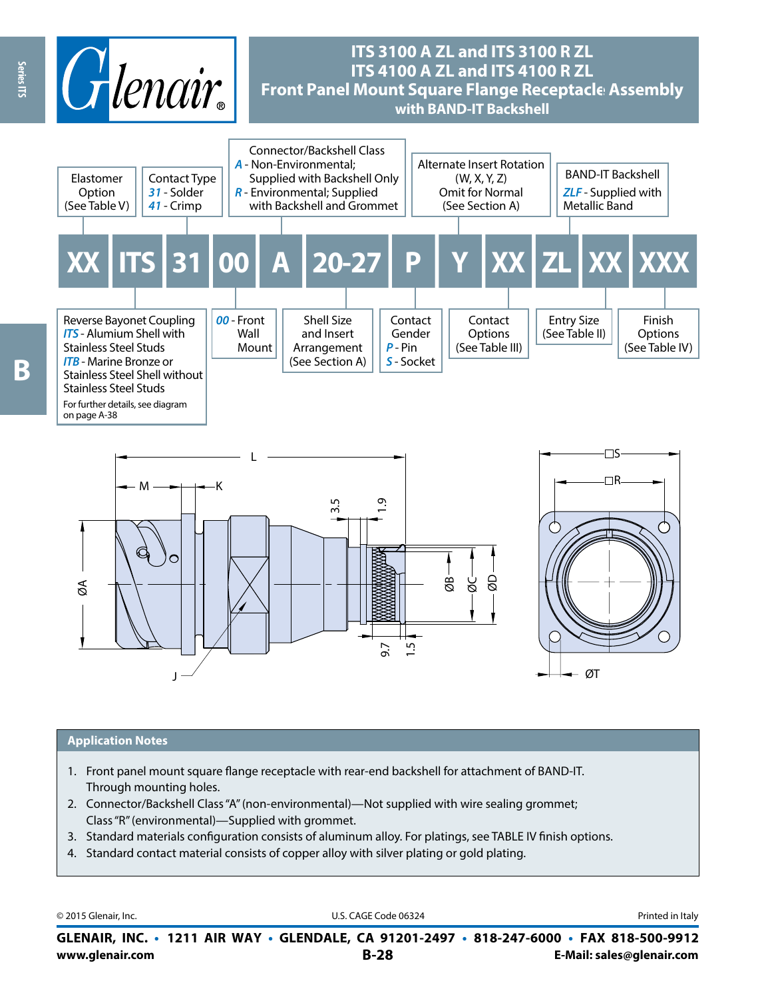





#### **Application Notes**

- 1. Front panel mount square flange receptacle with rear-end backshell for attachment of BAND-IT. Through mounting holes.
- 2. Connector/Backshell Class "A" (non-environmental)—Not supplied with wire sealing grommet; Class "R" (environmental)—Supplied with grommet.
- 3. Standard materials configuration consists of aluminum alloy. For platings, see TABLE IV finish options.
- 4. Standard contact material consists of copper alloy with silver plating or gold plating.

© 2015 Glenair, Inc. **Discription Construction Construction Construction Construction Construction Construction Construction Construction Construction Construction Construction Construction Construction Construction Constr** 

**www.glenair.com B-28 E-Mail: sales@glenair.com GLENAIR, INC. • 1211 AIR WAY • GLENDALE, CA 91201-2497 • 818-247-6000 • FAX 818-500-9912**